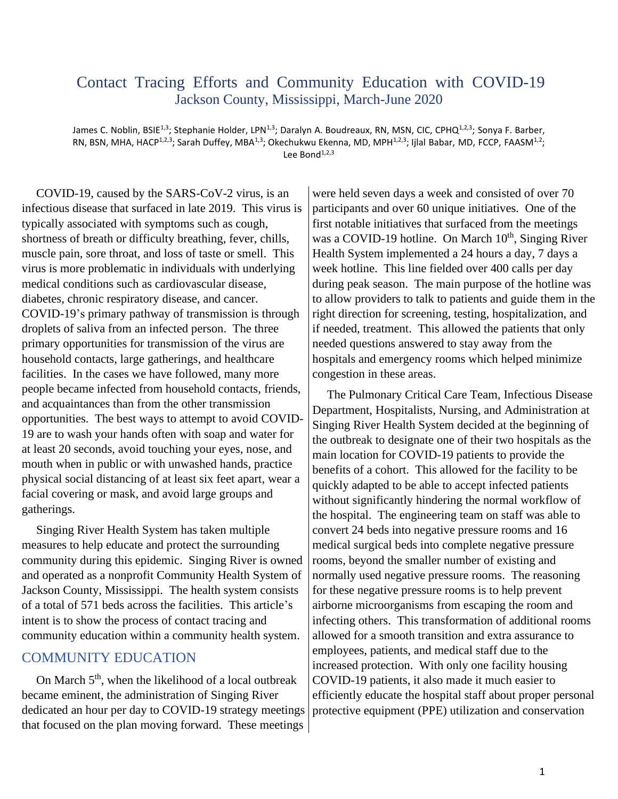## Contact Tracing Efforts and Community Education with COVID-19 Jackson County, Mississippi, March-June 2020

James C. Noblin, BSIE<sup>1,3</sup>; Stephanie Holder, LPN<sup>1,3</sup>; Daralyn A. Boudreaux, RN, MSN, CIC, CPHQ<sup>1,2,3</sup>; Sonya F. Barber, RN, BSN, MHA, HACP<sup>1,2,3</sup>; Sarah Duffey, MBA<sup>1,3</sup>; Okechukwu Ekenna, MD, MPH<sup>1,2,3</sup>; Ijlal Babar, MD, FCCP, FAASM<sup>1,2</sup>; Lee Bond $^{1,2,3}$ 

COVID-19, caused by the SARS-CoV-2 virus, is an infectious disease that surfaced in late 2019. This virus is typically associated with symptoms such as cough, shortness of breath or difficulty breathing, fever, chills, muscle pain, sore throat, and loss of taste or smell. This virus is more problematic in individuals with underlying medical conditions such as cardiovascular disease, diabetes, chronic respiratory disease, and cancer. COVID-19's primary pathway of transmission is through droplets of saliva from an infected person. The three primary opportunities for transmission of the virus are household contacts, large gatherings, and healthcare facilities. In the cases we have followed, many more people became infected from household contacts, friends, and acquaintances than from the other transmission opportunities. The best ways to attempt to avoid COVID-19 are to wash your hands often with soap and water for at least 20 seconds, avoid touching your eyes, nose, and mouth when in public or with unwashed hands, practice physical social distancing of at least six feet apart, wear a facial covering or mask, and avoid large groups and gatherings.

Singing River Health System has taken multiple measures to help educate and protect the surrounding community during this epidemic. Singing River is owned and operated as a nonprofit Community Health System of Jackson County, Mississippi. The health system consists of a total of 571 beds across the facilities. This article's intent is to show the process of contact tracing and community education within a community health system.

## COMMUNITY EDUCATION

On March 5<sup>th</sup>, when the likelihood of a local outbreak became eminent, the administration of Singing River dedicated an hour per day to COVID-19 strategy meetings that focused on the plan moving forward. These meetings

were held seven days a week and consisted of over 70 participants and over 60 unique initiatives. One of the first notable initiatives that surfaced from the meetings was a COVID-19 hotline. On March  $10<sup>th</sup>$ , Singing River Health System implemented a 24 hours a day, 7 days a week hotline. This line fielded over 400 calls per day during peak season. The main purpose of the hotline was to allow providers to talk to patients and guide them in the right direction for screening, testing, hospitalization, and if needed, treatment. This allowed the patients that only needed questions answered to stay away from the hospitals and emergency rooms which helped minimize congestion in these areas.

The Pulmonary Critical Care Team, Infectious Disease Department, Hospitalists, Nursing, and Administration at Singing River Health System decided at the beginning of the outbreak to designate one of their two hospitals as the main location for COVID-19 patients to provide the benefits of a cohort. This allowed for the facility to be quickly adapted to be able to accept infected patients without significantly hindering the normal workflow of the hospital. The engineering team on staff was able to convert 24 beds into negative pressure rooms and 16 medical surgical beds into complete negative pressure rooms, beyond the smaller number of existing and normally used negative pressure rooms. The reasoning for these negative pressure rooms is to help prevent airborne microorganisms from escaping the room and infecting others. This transformation of additional rooms allowed for a smooth transition and extra assurance to employees, patients, and medical staff due to the increased protection. With only one facility housing COVID-19 patients, it also made it much easier to efficiently educate the hospital staff about proper personal protective equipment (PPE) utilization and conservation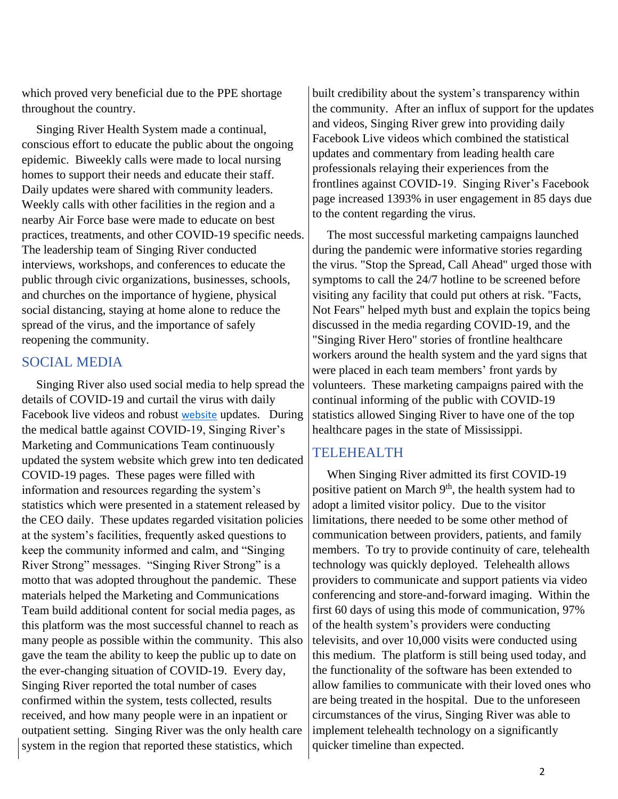which proved very beneficial due to the PPE shortage throughout the country.

Singing River Health System made a continual, conscious effort to educate the public about the ongoing epidemic. Biweekly calls were made to local nursing homes to support their needs and educate their staff. Daily updates were shared with community leaders. Weekly calls with other facilities in the region and a nearby Air Force base were made to educate on best practices, treatments, and other COVID-19 specific needs. The leadership team of Singing River conducted interviews, workshops, and conferences to educate the public through civic organizations, businesses, schools, and churches on the importance of hygiene, physical social distancing, staying at home alone to reduce the spread of the virus, and the importance of safely reopening the community.

## SOCIAL MEDIA

Singing River also used social media to help spread the details of COVID-19 and curtail the virus with daily Facebook live videos and robust [website](https://singingriverhealthsystem.com/) updates. During the medical battle against COVID-19, Singing River's Marketing and Communications Team continuously updated the system website which grew into ten dedicated COVID-19 pages. These pages were filled with information and resources regarding the system's statistics which were presented in a statement released by the CEO daily. These updates regarded visitation policies at the system's facilities, frequently asked questions to keep the community informed and calm, and "Singing River Strong" messages. "Singing River Strong" is a motto that was adopted throughout the pandemic. These materials helped the Marketing and Communications Team build additional content for social media pages, as this platform was the most successful channel to reach as many people as possible within the community. This also gave the team the ability to keep the public up to date on the ever-changing situation of COVID-19. Every day, Singing River reported the total number of cases confirmed within the system, tests collected, results received, and how many people were in an inpatient or outpatient setting. Singing River was the only health care system in the region that reported these statistics, which

built credibility about the system's transparency within the community. After an influx of support for the updates and videos, Singing River grew into providing daily Facebook Live videos which combined the statistical updates and commentary from leading health care professionals relaying their experiences from the frontlines against COVID-19. Singing River's Facebook page increased 1393% in user engagement in 85 days due to the content regarding the virus.

The most successful marketing campaigns launched during the pandemic were informative stories regarding the virus. "Stop the Spread, Call Ahead" urged those with symptoms to call the 24/7 hotline to be screened before visiting any facility that could put others at risk. "Facts, Not Fears" helped myth bust and explain the topics being discussed in the media regarding COVID-19, and the "Singing River Hero" stories of frontline healthcare workers around the health system and the yard signs that were placed in each team members' front yards by volunteers. These marketing campaigns paired with the continual informing of the public with COVID-19 statistics allowed Singing River to have one of the top healthcare pages in the state of Mississippi.

## TELEHEALTH

When Singing River admitted its first COVID-19 positive patient on March 9<sup>th</sup>, the health system had to adopt a limited visitor policy. Due to the visitor limitations, there needed to be some other method of communication between providers, patients, and family members. To try to provide continuity of care, telehealth technology was quickly deployed. Telehealth allows providers to communicate and support patients via video conferencing and store-and-forward imaging. Within the first 60 days of using this mode of communication, 97% of the health system's providers were conducting televisits, and over 10,000 visits were conducted using this medium. The platform is still being used today, and the functionality of the software has been extended to allow families to communicate with their loved ones who are being treated in the hospital. Due to the unforeseen circumstances of the virus, Singing River was able to implement telehealth technology on a significantly quicker timeline than expected.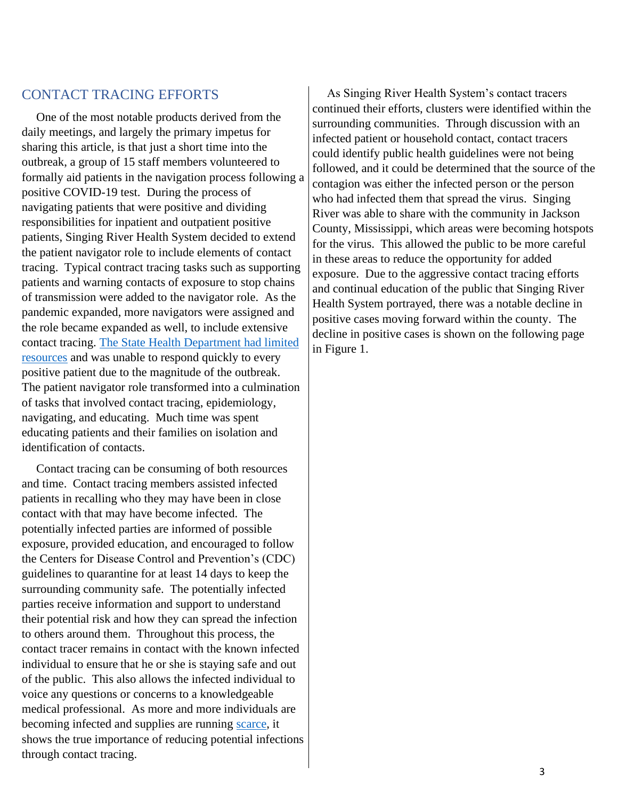#### CONTACT TRACING EFFORTS

One of the most notable products derived from the daily meetings, and largely the primary impetus for sharing this article, is that just a short time into the outbreak, a group of 15 staff members volunteered to formally aid patients in the navigation process following a positive COVID-19 test. During the process of navigating patients that were positive and dividing responsibilities for inpatient and outpatient positive patients, Singing River Health System decided to extend the patient navigator role to include elements of contact tracing. Typical contract tracing tasks such as supporting patients and warning contacts of exposure to stop chains of transmission were added to the navigator role. As the pandemic expanded, more navigators were assigned and the role became expanded as well, to include extensive contact tracing. [The State Health Department had limited](https://www.sunherald.com/news/coronavirus/article243634762.html?utm_source=pushly&intcid=%7B__explicit:pushly_572875%7D)  [resources](https://www.sunherald.com/news/coronavirus/article243634762.html?utm_source=pushly&intcid=%7B__explicit:pushly_572875%7D) and was unable to respond quickly to every positive patient due to the magnitude of the outbreak. The patient navigator role transformed into a culmination of tasks that involved contact tracing, epidemiology, navigating, and educating. Much time was spent educating patients and their families on isolation and identification of contacts.

Contact tracing can be consuming of both resources and time. Contact tracing members assisted infected patients in recalling who they may have been in close contact with that may have become infected. The potentially infected parties are informed of possible exposure, provided education, and encouraged to follow the Centers for Disease Control and Prevention's (CDC) guidelines to quarantine for at least 14 days to keep the surrounding community safe. The potentially infected parties receive information and support to understand their potential risk and how they can spread the infection to others around them. Throughout this process, the contact tracer remains in contact with the known infected individual to ensure that he or she is staying safe and out of the public. This also allows the infected individual to voice any questions or concerns to a knowledgeable medical professional. As more and more individuals are becoming infected and supplies are running [scarce,](https://www.npr.org/2020/05/28/863558750/coronavirus-testing-machines-are-latest-bottleneck-in-troubled-supply-chain) it shows the true importance of reducing potential infections through contact tracing.

As Singing River Health System's contact tracers continued their efforts, clusters were identified within the surrounding communities. Through discussion with an infected patient or household contact, contact tracers could identify public health guidelines were not being followed, and it could be determined that the source of the contagion was either the infected person or the person who had infected them that spread the virus. Singing River was able to share with the community in Jackson County, Mississippi, which areas were becoming hotspots for the virus. This allowed the public to be more careful in these areas to reduce the opportunity for added exposure. Due to the aggressive contact tracing efforts and continual education of the public that Singing River Health System portrayed, there was a notable decline in positive cases moving forward within the county. The decline in positive cases is shown on the following page in Figure 1.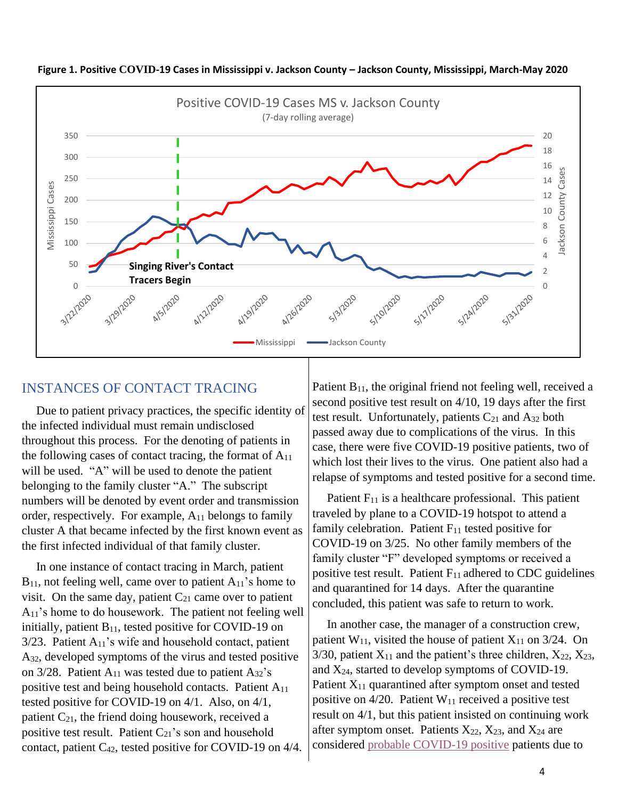

**Figure 1. Positive COVID-19 Cases in Mississippi v. Jackson County – Jackson County, Mississippi, March-May 2020**

## INSTANCES OF CONTACT TRACING

Due to patient privacy practices, the specific identity of the infected individual must remain undisclosed throughout this process. For the denoting of patients in the following cases of contact tracing, the format of  $A_{11}$ will be used. "A" will be used to denote the patient belonging to the family cluster "A." The subscript numbers will be denoted by event order and transmission order, respectively. For example, A<sup>11</sup> belongs to family cluster A that became infected by the first known event as the first infected individual of that family cluster.

In one instance of contact tracing in March, patient  $B_{11}$ , not feeling well, came over to patient  $A_{11}$ 's home to visit. On the same day, patient  $C_{21}$  came over to patient  $A_{11}$ 's home to do housework. The patient not feeling well initially, patient  $B_{11}$ , tested positive for COVID-19 on  $3/23$ . Patient  $A_{11}$ 's wife and household contact, patient A32, developed symptoms of the virus and tested positive on  $3/28$ . Patient A<sub>11</sub> was tested due to patient A<sub>32</sub>'s positive test and being household contacts. Patient A<sup>11</sup> tested positive for COVID-19 on 4/1. Also, on 4/1, patient  $C_{21}$ , the friend doing housework, received a positive test result. Patient  $C_{21}$ 's son and household contact, patient C42, tested positive for COVID-19 on 4/4.

Patient  $B_{11}$ , the original friend not feeling well, received a second positive test result on 4/10, 19 days after the first test result. Unfortunately, patients  $C_{21}$  and  $A_{32}$  both passed away due to complications of the virus. In this case, there were five COVID-19 positive patients, two of which lost their lives to the virus. One patient also had a relapse of symptoms and tested positive for a second time.

Patient  $F_{11}$  is a healthcare professional. This patient traveled by plane to a COVID-19 hotspot to attend a family celebration. Patient  $F_{11}$  tested positive for COVID-19 on 3/25. No other family members of the family cluster "F" developed symptoms or received a positive test result. Patient  $F_{11}$  adhered to CDC guidelines and quarantined for 14 days. After the quarantine concluded, this patient was safe to return to work.

In another case, the manager of a construction crew, patient  $W_{11}$ , visited the house of patient  $X_{11}$  on 3/24. On 3/30, patient  $X_{11}$  and the patient's three children,  $X_{22}$ ,  $X_{23}$ , and  $X_{24}$ , started to develop symptoms of COVID-19. Patient  $X_{11}$  quarantined after symptom onset and tested positive on  $4/20$ . Patient W<sub>11</sub> received a positive test result on 4/1, but this patient insisted on continuing work after symptom onset. Patients  $X_{22}$ ,  $X_{23}$ , and  $X_{24}$  are considered [probable COVID-19 positive](http://www.health.gov.on.ca/en/pro/programs/publichealth/coronavirus/docs/2019_case_definition.pdf) patients due to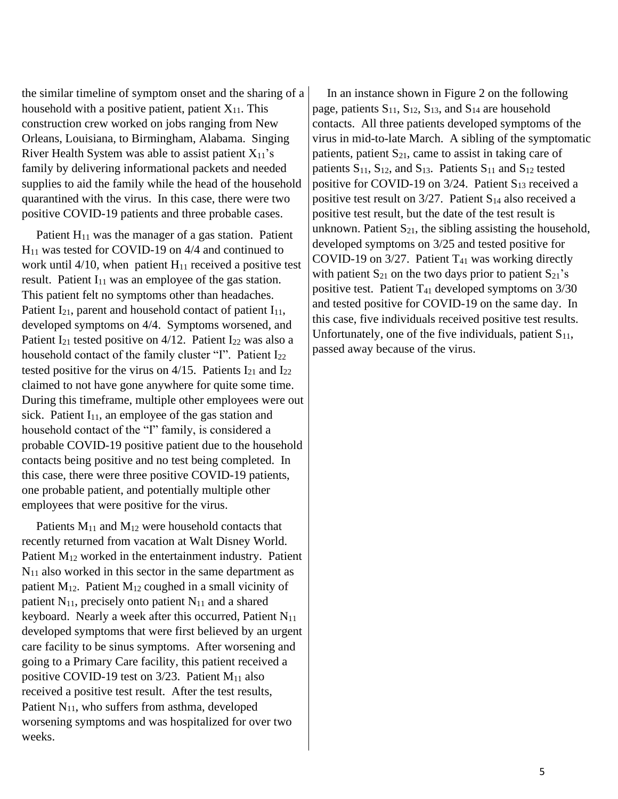the similar timeline of symptom onset and the sharing of a household with a positive patient, patient  $X_{11}$ . This construction crew worked on jobs ranging from New Orleans, Louisiana, to Birmingham, Alabama. Singing River Health System was able to assist patient  $X_{11}$ 's family by delivering informational packets and needed supplies to aid the family while the head of the household quarantined with the virus. In this case, there were two positive COVID-19 patients and three probable cases.

Patient  $H_{11}$  was the manager of a gas station. Patient H<sup>11</sup> was tested for COVID-19 on 4/4 and continued to work until  $4/10$ , when patient H<sub>11</sub> received a positive test result. Patient  $I_{11}$  was an employee of the gas station. This patient felt no symptoms other than headaches. Patient  $I_{21}$ , parent and household contact of patient  $I_{11}$ , developed symptoms on 4/4. Symptoms worsened, and Patient  $I_{21}$  tested positive on 4/12. Patient  $I_{22}$  was also a household contact of the family cluster "I". Patient I<sub>22</sub> tested positive for the virus on  $4/15$ . Patients  $I_{21}$  and  $I_{22}$ claimed to not have gone anywhere for quite some time. During this timeframe, multiple other employees were out sick. Patient  $I_{11}$ , an employee of the gas station and household contact of the "I" family, is considered a probable COVID-19 positive patient due to the household contacts being positive and no test being completed. In this case, there were three positive COVID-19 patients, one probable patient, and potentially multiple other employees that were positive for the virus.

Patients  $M_{11}$  and  $M_{12}$  were household contacts that recently returned from vacation at Walt Disney World. Patient M<sup>12</sup> worked in the entertainment industry. Patient  $N_{11}$  also worked in this sector in the same department as patient M12. Patient M<sup>12</sup> coughed in a small vicinity of patient  $N_{11}$ , precisely onto patient  $N_{11}$  and a shared keyboard. Nearly a week after this occurred, Patient  $N_{11}$ developed symptoms that were first believed by an urgent care facility to be sinus symptoms. After worsening and going to a Primary Care facility, this patient received a positive COVID-19 test on 3/23. Patient M<sub>11</sub> also received a positive test result. After the test results, Patient  $N_{11}$ , who suffers from asthma, developed worsening symptoms and was hospitalized for over two weeks.

In an instance shown in Figure 2 on the following page, patients  $S_{11}$ ,  $S_{12}$ ,  $S_{13}$ , and  $S_{14}$  are household contacts. All three patients developed symptoms of the virus in mid-to-late March. A sibling of the symptomatic patients, patient  $S_{21}$ , came to assist in taking care of patients  $S_{11}$ ,  $S_{12}$ , and  $S_{13}$ . Patients  $S_{11}$  and  $S_{12}$  tested positive for COVID-19 on  $3/24$ . Patient S<sub>13</sub> received a positive test result on  $3/27$ . Patient S<sub>14</sub> also received a positive test result, but the date of the test result is unknown. Patient  $S_{21}$ , the sibling assisting the household, developed symptoms on 3/25 and tested positive for COVID-19 on  $3/27$ . Patient T<sub>41</sub> was working directly with patient  $S_{21}$  on the two days prior to patient  $S_{21}$ 's positive test. Patient  $T_{41}$  developed symptoms on  $3/30$ and tested positive for COVID-19 on the same day. In this case, five individuals received positive test results. Unfortunately, one of the five individuals, patient  $S_{11}$ , passed away because of the virus.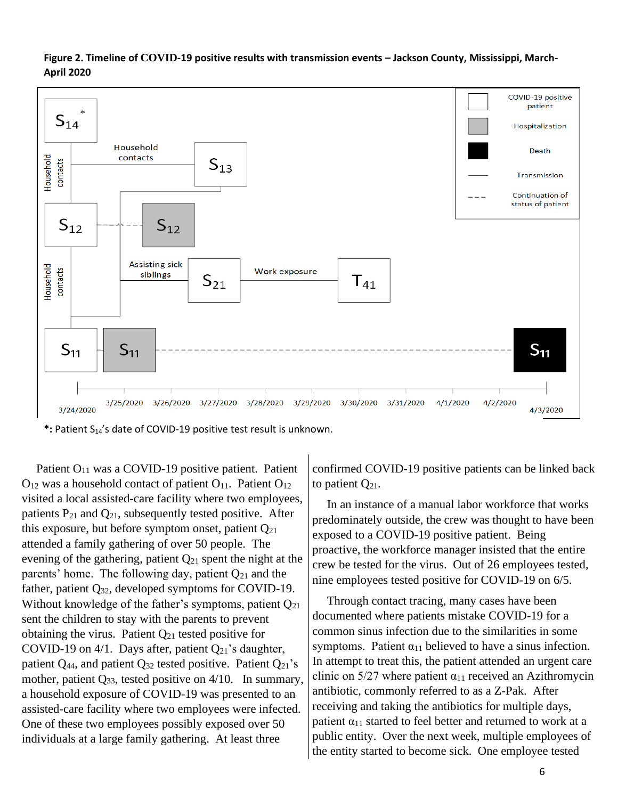

**Figure 2. Timeline of COVID-19 positive results with transmission events – Jackson County, Mississippi, March-April 2020**

\*: Patient S<sub>14</sub>'s date of COVID-19 positive test result is unknown.

Patient  $O_{11}$  was a COVID-19 positive patient. Patient  $O_{12}$  was a household contact of patient  $O_{11}$ . Patient  $O_{12}$ visited a local assisted-care facility where two employees, patients  $P_{21}$  and  $Q_{21}$ , subsequently tested positive. After this exposure, but before symptom onset, patient  $Q_{21}$ attended a family gathering of over 50 people. The evening of the gathering, patient  $Q_{21}$  spent the night at the parents' home. The following day, patient  $Q_{21}$  and the father, patient Q32, developed symptoms for COVID-19. Without knowledge of the father's symptoms, patient Q21 sent the children to stay with the parents to prevent obtaining the virus. Patient  $Q_{21}$  tested positive for COVID-19 on  $4/1$ . Days after, patient  $Q_{21}$ 's daughter, patient  $Q_{44}$ , and patient  $Q_{32}$  tested positive. Patient  $Q_{21}$ 's mother, patient  $Q_{33}$ , tested positive on 4/10. In summary, a household exposure of COVID-19 was presented to an assisted-care facility where two employees were infected. One of these two employees possibly exposed over 50 individuals at a large family gathering. At least three

confirmed COVID-19 positive patients can be linked back to patient  $Q_{21}$ .

In an instance of a manual labor workforce that works predominately outside, the crew was thought to have been exposed to a COVID-19 positive patient. Being proactive, the workforce manager insisted that the entire crew be tested for the virus. Out of 26 employees tested, nine employees tested positive for COVID-19 on 6/5.

Through contact tracing, many cases have been documented where patients mistake COVID-19 for a common sinus infection due to the similarities in some symptoms. Patient  $\alpha_{11}$  believed to have a sinus infection. In attempt to treat this, the patient attended an urgent care clinic on  $5/27$  where patient  $\alpha_{11}$  received an Azithromycin antibiotic, commonly referred to as a Z-Pak. After receiving and taking the antibiotics for multiple days, patient  $\alpha_{11}$  started to feel better and returned to work at a public entity. Over the next week, multiple employees of the entity started to become sick. One employee tested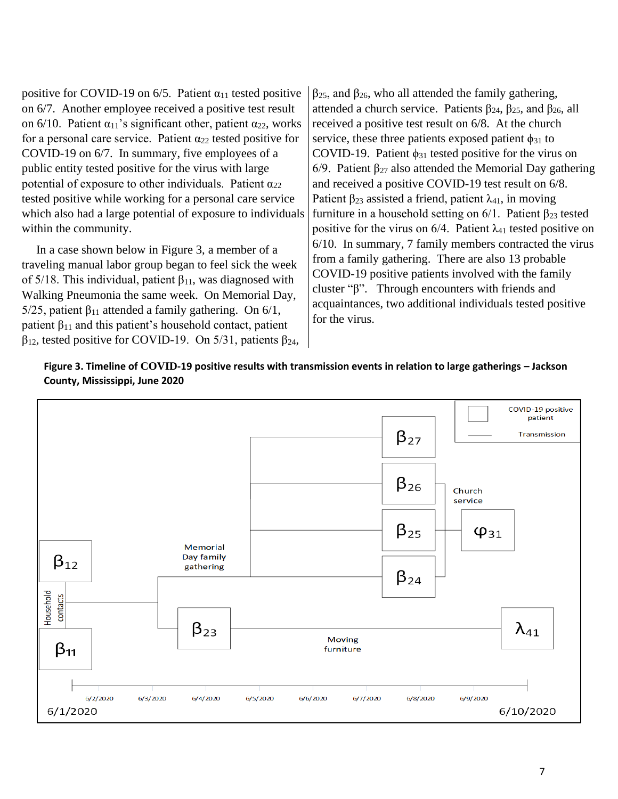positive for COVID-19 on 6/5. Patient  $\alpha_{11}$  tested positive on 6/7. Another employee received a positive test result on 6/10. Patient  $\alpha_{11}$ 's significant other, patient  $\alpha_{22}$ , works for a personal care service. Patient  $\alpha_{22}$  tested positive for COVID-19 on 6/7. In summary, five employees of a public entity tested positive for the virus with large potential of exposure to other individuals. Patient  $\alpha_{22}$ tested positive while working for a personal care service which also had a large potential of exposure to individuals within the community.

In a case shown below in Figure 3, a member of a traveling manual labor group began to feel sick the week of 5/18. This individual, patient  $\beta_{11}$ , was diagnosed with Walking Pneumonia the same week. On Memorial Day, 5/25, patient  $β_{11}$  attended a family gathering. On 6/1, patient  $\beta_{11}$  and this patient's household contact, patient  $β<sub>12</sub>$ , tested positive for COVID-19. On 5/31, patients  $β<sub>24</sub>$ ,  $β<sub>25</sub>$ , and  $β<sub>26</sub>$ , who all attended the family gathering, attended a church service. Patients  $\beta_{24}$ ,  $\beta_{25}$ , and  $\beta_{26}$ , all received a positive test result on 6/8. At the church service, these three patients exposed patient  $\phi_{31}$  to COVID-19. Patient  $\phi_{31}$  tested positive for the virus on 6/9. Patient  $β_{27}$  also attended the Memorial Day gathering and received a positive COVID-19 test result on 6/8. Patient  $\beta_{23}$  assisted a friend, patient  $\lambda_{41}$ , in moving furniture in a household setting on  $6/1$ . Patient  $\beta_{23}$  tested positive for the virus on  $6/4$ . Patient  $\lambda_{41}$  tested positive on 6/10. In summary, 7 family members contracted the virus from a family gathering. There are also 13 probable COVID-19 positive patients involved with the family cluster "β". Through encounters with friends and acquaintances, two additional individuals tested positive for the virus.



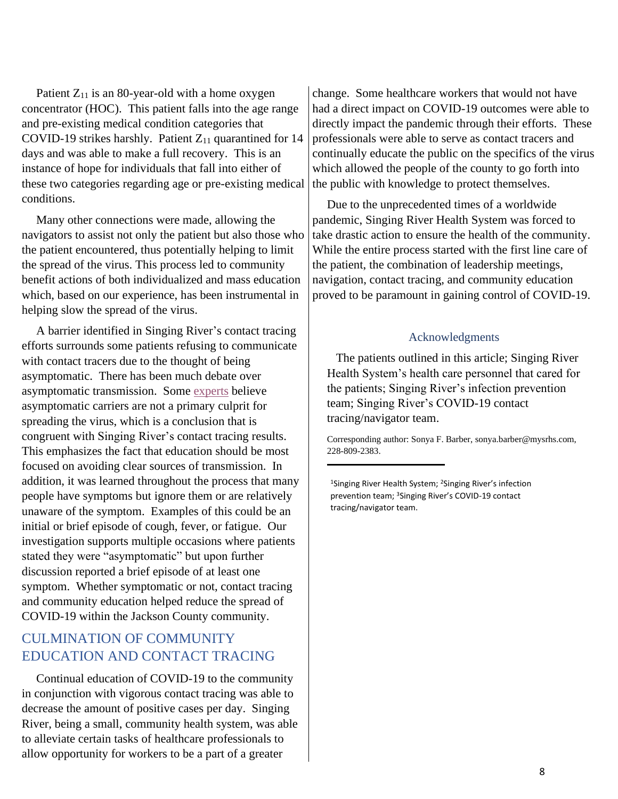Patient  $Z_{11}$  is an 80-year-old with a home oxygen concentrator (HOC). This patient falls into the age range and pre-existing medical condition categories that COVID-19 strikes harshly. Patient  $Z_{11}$  quarantined for 14 days and was able to make a full recovery. This is an instance of hope for individuals that fall into either of these two categories regarding age or pre-existing medical conditions.

Many other connections were made, allowing the navigators to assist not only the patient but also those who the patient encountered, thus potentially helping to limit the spread of the virus. This process led to community benefit actions of both individualized and mass education which, based on our experience, has been instrumental in helping slow the spread of the virus.

A barrier identified in Singing River's contact tracing efforts surrounds some patients refusing to communicate with contact tracers due to the thought of being asymptomatic. There has been much debate over asymptomatic transmission. Some [experts](https://www.cnbc.com/2020/06/08/asymptomatic-coronavirus-patients-arent-spreading-new-infections-who-says.html) believe asymptomatic carriers are not a primary culprit for spreading the virus, which is a conclusion that is congruent with Singing River's contact tracing results. This emphasizes the fact that education should be most focused on avoiding clear sources of transmission. In addition, it was learned throughout the process that many people have symptoms but ignore them or are relatively unaware of the symptom. Examples of this could be an initial or brief episode of cough, fever, or fatigue. Our investigation supports multiple occasions where patients stated they were "asymptomatic" but upon further discussion reported a brief episode of at least one symptom. Whether symptomatic or not, contact tracing and community education helped reduce the spread of COVID-19 within the Jackson County community.

# CULMINATION OF COMMUNITY EDUCATION AND CONTACT TRACING

Continual education of COVID-19 to the community in conjunction with vigorous contact tracing was able to decrease the amount of positive cases per day. Singing River, being a small, community health system, was able to alleviate certain tasks of healthcare professionals to allow opportunity for workers to be a part of a greater

change. Some healthcare workers that would not have had a direct impact on COVID-19 outcomes were able to directly impact the pandemic through their efforts. These professionals were able to serve as contact tracers and continually educate the public on the specifics of the virus which allowed the people of the county to go forth into the public with knowledge to protect themselves.

Due to the unprecedented times of a worldwide pandemic, Singing River Health System was forced to take drastic action to ensure the health of the community. While the entire process started with the first line care of the patient, the combination of leadership meetings, navigation, contact tracing, and community education proved to be paramount in gaining control of COVID-19.

#### Acknowledgments

 The patients outlined in this article; Singing River Health System's health care personnel that cared for the patients; Singing River's infection prevention team; Singing River's COVID-19 contact tracing/navigator team.

Corresponding author: Sonya F. Barber, sonya.barber@mysrhs.com, 228-809-2383.

<sup>1</sup>Singing River Health System; <sup>2</sup>Singing River's infection prevention team; <sup>3</sup>Singing River's COVID-19 contact tracing/navigator team.